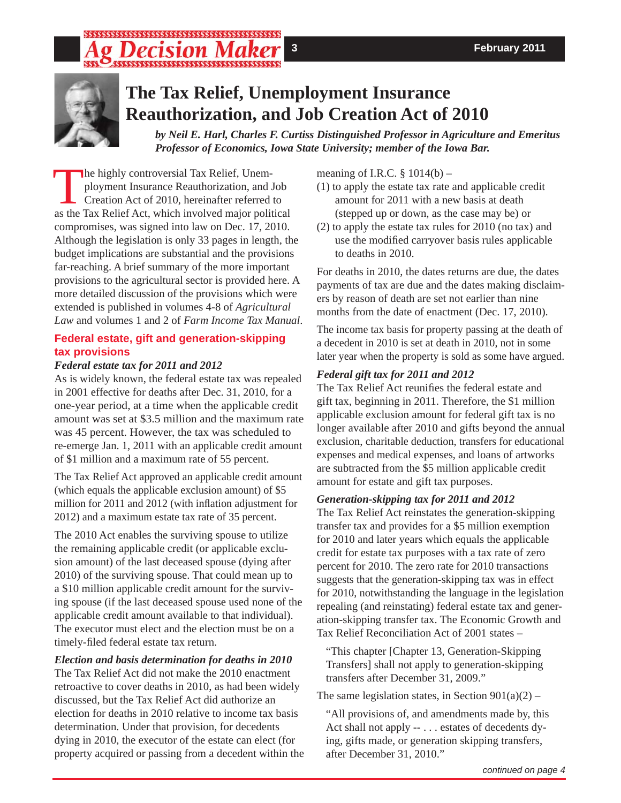## 



# **The Tax Relief, Unemployment Insurance Reauthorization, and Job Creation Act of 2010**

*by Neil E. Harl, Charles F. Curtiss Distinguished Professor in Agriculture and Emeritus Professor of Economics, Iowa State University; member of the Iowa Bar.*

The highly controversial Tax Relief, Unemployment Insurance Reauthorization, and Job Creation Act of 2010, hereinafter referred to as the Tax Relief Act, which involved major political compromises, was signed into law on Dec. 17, 2010. Although the legislation is only 33 pages in length, the budget implications are substantial and the provisions far-reaching. A brief summary of the more important provisions to the agricultural sector is provided here. A more detailed discussion of the provisions which were extended is published in volumes 4-8 of *Agricultural Law* and volumes 1 and 2 of *Farm Income Tax Manual*.

### **Federal estate, gift and generation-skipping tax provisions**

### *Federal estate tax for 2011 and 2012*

As is widely known, the federal estate tax was repealed in 2001 effective for deaths after Dec. 31, 2010, for a one-year period, at a time when the applicable credit amount was set at \$3.5 million and the maximum rate was 45 percent. However, the tax was scheduled to re-emerge Jan. 1, 2011 with an applicable credit amount of \$1 million and a maximum rate of 55 percent.

The Tax Relief Act approved an applicable credit amount (which equals the applicable exclusion amount) of \$5 million for 2011 and 2012 (with inflation adjustment for 2012) and a maximum estate tax rate of 35 percent.

The 2010 Act enables the surviving spouse to utilize the remaining applicable credit (or applicable exclusion amount) of the last deceased spouse (dying after 2010) of the surviving spouse. That could mean up to a \$10 million applicable credit amount for the surviving spouse (if the last deceased spouse used none of the applicable credit amount available to that individual). The executor must elect and the election must be on a timely-filed federal estate tax return.

### *Election and basis determination for deaths in 2010*

The Tax Relief Act did not make the 2010 enactment retroactive to cover deaths in 2010, as had been widely discussed, but the Tax Relief Act did authorize an election for deaths in 2010 relative to income tax basis determination. Under that provision, for decedents dying in 2010, the executor of the estate can elect (for property acquired or passing from a decedent within the meaning of I.R.C.  $\S$  1014(b) –

- (1) to apply the estate tax rate and applicable credit amount for 2011 with a new basis at death (stepped up or down, as the case may be) or
- (2) to apply the estate tax rules for 2010 (no tax) and use the modified carryover basis rules applicable to deaths in 2010.

For deaths in 2010, the dates returns are due, the dates payments of tax are due and the dates making disclaimers by reason of death are set not earlier than nine months from the date of enactment (Dec. 17, 2010).

The income tax basis for property passing at the death of a decedent in 2010 is set at death in 2010, not in some later year when the property is sold as some have argued.

## *Federal gift tax for 2011 and 2012*

The Tax Relief Act reunifies the federal estate and gift tax, beginning in 2011. Therefore, the \$1 million applicable exclusion amount for federal gift tax is no longer available after 2010 and gifts beyond the annual exclusion, charitable deduction, transfers for educational expenses and medical expenses, and loans of artworks are subtracted from the \$5 million applicable credit amount for estate and gift tax purposes.

### *Generation-skipping tax for 2011 and 2012*

The Tax Relief Act reinstates the generation-skipping transfer tax and provides for a \$5 million exemption for 2010 and later years which equals the applicable credit for estate tax purposes with a tax rate of zero percent for 2010. The zero rate for 2010 transactions suggests that the generation-skipping tax was in effect for 2010, notwithstanding the language in the legislation repealing (and reinstating) federal estate tax and generation-skipping transfer tax. The Economic Growth and Tax Relief Reconciliation Act of 2001 states –

"This chapter [Chapter 13, Generation-Skipping Transfers] shall not apply to generation-skipping transfers after December 31, 2009."

The same legislation states, in Section  $901(a)(2)$  –

"All provisions of, and amendments made by, this Act shall not apply -- . . . estates of decedents dying, gifts made, or generation skipping transfers, after December 31, 2010."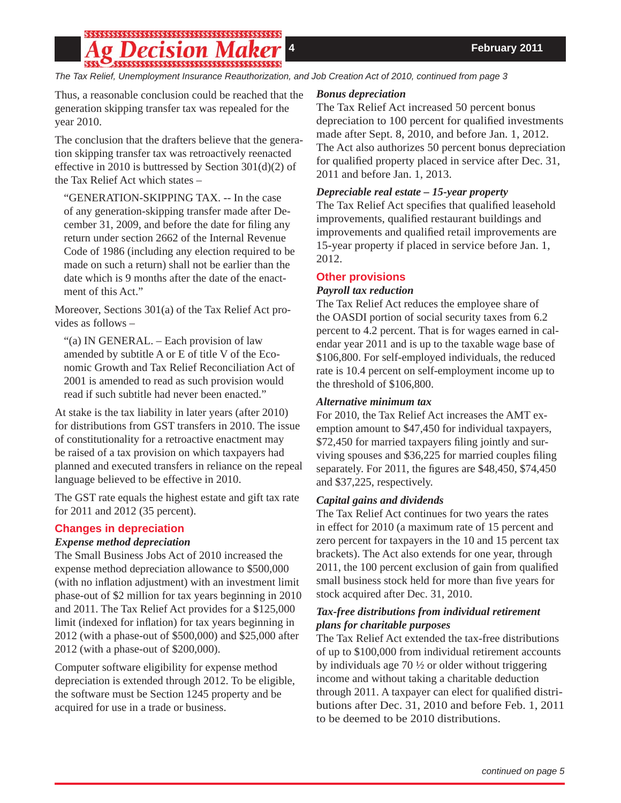## 

*The Tax Relief, Unemployment Insurance Reauthorization, and Job Creation Act of 2010, continued from page 3*

Thus, a reasonable conclusion could be reached that the generation skipping transfer tax was repealed for the year 2010.

The conclusion that the drafters believe that the generation skipping transfer tax was retroactively reenacted effective in 2010 is buttressed by Section 301(d)(2) of the Tax Relief Act which states –

"GENERATION-SKIPPING TAX. -- In the case of any generation-skipping transfer made after December 31, 2009, and before the date for filing any return under section 2662 of the Internal Revenue Code of 1986 (including any election required to be made on such a return) shall not be earlier than the date which is 9 months after the date of the enactment of this Act."

Moreover, Sections 301(a) of the Tax Relief Act provides as follows –

"(a) IN GENERAL. – Each provision of law amended by subtitle A or E of title V of the Economic Growth and Tax Relief Reconciliation Act of 2001 is amended to read as such provision would read if such subtitle had never been enacted."

At stake is the tax liability in later years (after 2010) for distributions from GST transfers in 2010. The issue of constitutionality for a retroactive enactment may be raised of a tax provision on which taxpayers had planned and executed transfers in reliance on the repeal language believed to be effective in 2010.

The GST rate equals the highest estate and gift tax rate for 2011 and 2012 (35 percent).

### **Changes in depreciation**

### *Expense method depreciation*

The Small Business Jobs Act of 2010 increased the expense method depreciation allowance to \$500,000 (with no inflation adjustment) with an investment limit phase-out of \$2 million for tax years beginning in 2010 and 2011. The Tax Relief Act provides for a \$125,000 limit (indexed for inflation) for tax years beginning in 2012 (with a phase-out of \$500,000) and \$25,000 after 2012 (with a phase-out of \$200,000).

Computer software eligibility for expense method depreciation is extended through 2012. To be eligible, the software must be Section 1245 property and be acquired for use in a trade or business.

### *Bonus depreciation*

The Tax Relief Act increased 50 percent bonus depreciation to 100 percent for qualified investments made after Sept. 8, 2010, and before Jan. 1, 2012. The Act also authorizes 50 percent bonus depreciation for qualified property placed in service after Dec. 31, 2011 and before Jan. 1, 2013.

### *Depreciable real estate – 15-year property*

The Tax Relief Act specifies that qualified leasehold improvements, qualified restaurant buildings and improvements and qualified retail improvements are 15-year property if placed in service before Jan. 1, 2012.

### **Other provisions**

### *Payroll tax reduction*

The Tax Relief Act reduces the employee share of the OASDI portion of social security taxes from 6.2 percent to 4.2 percent. That is for wages earned in calendar year 2011 and is up to the taxable wage base of \$106,800. For self-employed individuals, the reduced rate is 10.4 percent on self-employment income up to the threshold of \$106,800.

### *Alternative minimum tax*

For 2010, the Tax Relief Act increases the AMT exemption amount to \$47,450 for individual taxpayers, \$72,450 for married taxpayers filing jointly and surviving spouses and  $$36,225$  for married couples filing separately. For 2011, the figures are  $$48,450, $74,450$ and \$37,225, respectively.

### *Capital gains and dividends*

The Tax Relief Act continues for two years the rates in effect for 2010 (a maximum rate of 15 percent and zero percent for taxpayers in the 10 and 15 percent tax brackets). The Act also extends for one year, through 2011, the 100 percent exclusion of gain from qualified small business stock held for more than five years for stock acquired after Dec. 31, 2010.

### *Tax-free distributions from individual retirement plans for charitable purposes*

The Tax Relief Act extended the tax-free distributions of up to \$100,000 from individual retirement accounts by individuals age  $70\frac{1}{2}$  or older without triggering income and without taking a charitable deduction through 2011. A taxpayer can elect for qualified distributions after Dec. 31, 2010 and before Feb. 1, 2011 to be deemed to be 2010 distributions.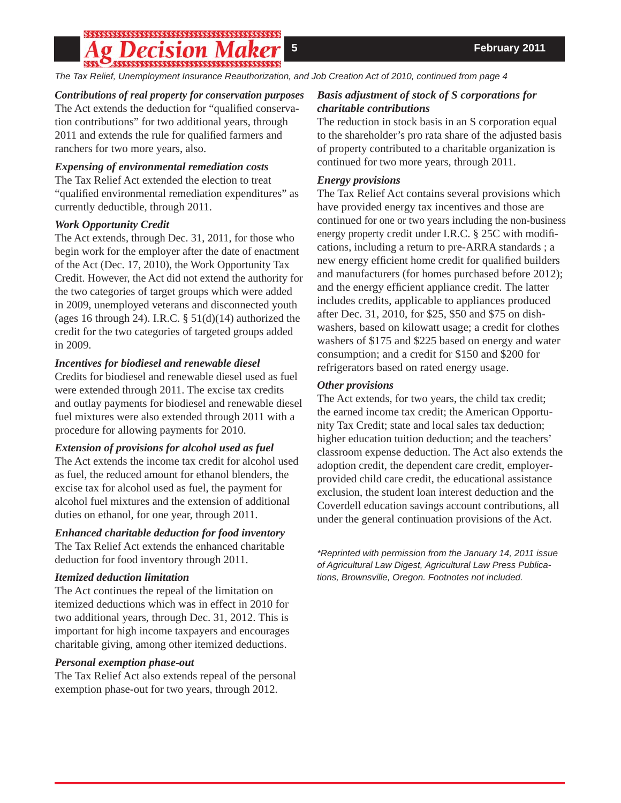# 

*The Tax Relief, Unemployment Insurance Reauthorization, and Job Creation Act of 2010, continued from page 4*

### *Contributions of real property for conservation purposes*

The Act extends the deduction for "qualified conservation contributions" for two additional years, through 2011 and extends the rule for qualified farmers and ranchers for two more years, also.

### *Expensing of environmental remediation costs*

The Tax Relief Act extended the election to treat "qualified environmental remediation expenditures" as currently deductible, through 2011.

### *Work Opportunity Credit*

The Act extends, through Dec. 31, 2011, for those who begin work for the employer after the date of enactment of the Act (Dec. 17, 2010), the Work Opportunity Tax Credit. However, the Act did not extend the authority for the two categories of target groups which were added in 2009, unemployed veterans and disconnected youth (ages 16 through 24). I.R.C.  $\S$  51(d)(14) authorized the credit for the two categories of targeted groups added in 2009.

### *Incentives for biodiesel and renewable diesel*

Credits for biodiesel and renewable diesel used as fuel were extended through 2011. The excise tax credits and outlay payments for biodiesel and renewable diesel fuel mixtures were also extended through 2011 with a procedure for allowing payments for 2010.

### *Extension of provisions for alcohol used as fuel*

The Act extends the income tax credit for alcohol used as fuel, the reduced amount for ethanol blenders, the excise tax for alcohol used as fuel, the payment for alcohol fuel mixtures and the extension of additional duties on ethanol, for one year, through 2011.

### *Enhanced charitable deduction for food inventory*

The Tax Relief Act extends the enhanced charitable deduction for food inventory through 2011.

### *Itemized deduction limitation*

The Act continues the repeal of the limitation on itemized deductions which was in effect in 2010 for two additional years, through Dec. 31, 2012. This is important for high income taxpayers and encourages charitable giving, among other itemized deductions.

### *Personal exemption phase-out*

The Tax Relief Act also extends repeal of the personal exemption phase-out for two years, through 2012.

### *Basis adjustment of stock of S corporations for charitable contributions*

The reduction in stock basis in an S corporation equal to the shareholder's pro rata share of the adjusted basis of property contributed to a charitable organization is continued for two more years, through 2011.

### *Energy provisions*

The Tax Relief Act contains several provisions which have provided energy tax incentives and those are continued for one or two years including the non-business energy property credit under I.R.C. § 25C with modifications, including a return to pre-ARRA standards ; a new energy efficient home credit for qualified builders and manufacturers (for homes purchased before 2012); and the energy efficient appliance credit. The latter includes credits, applicable to appliances produced after Dec. 31, 2010, for \$25, \$50 and \$75 on dishwashers, based on kilowatt usage; a credit for clothes washers of \$175 and \$225 based on energy and water consumption; and a credit for \$150 and \$200 for refrigerators based on rated energy usage.

### *Other provisions*

The Act extends, for two years, the child tax credit; the earned income tax credit; the American Opportunity Tax Credit; state and local sales tax deduction; higher education tuition deduction; and the teachers' classroom expense deduction. The Act also extends the adoption credit, the dependent care credit, employerprovided child care credit, the educational assistance exclusion, the student loan interest deduction and the Coverdell education savings account contributions, all under the general continuation provisions of the Act.

*\*Reprinted with permission from the January 14, 2011 issue of Agricultural Law Digest, Agricultural Law Press Publications, Brownsville, Oregon. Footnotes not included.*